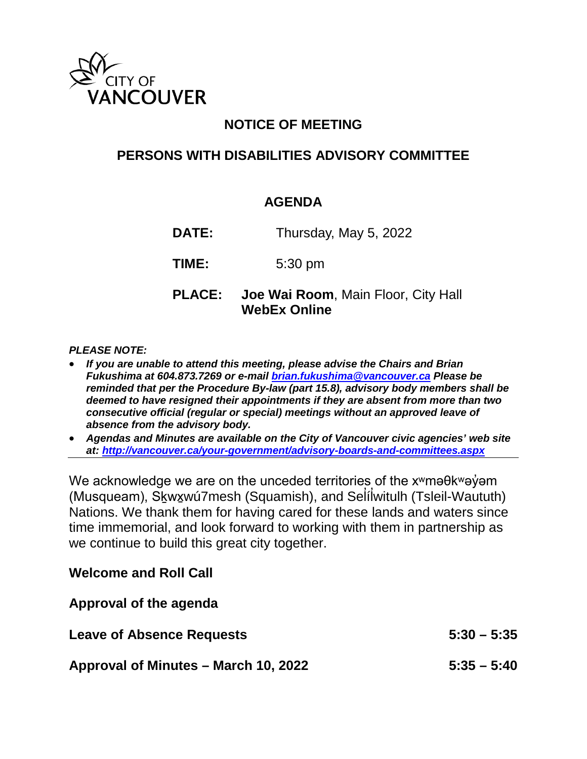

## **NOTICE OF MEETING**

## **PERSONS WITH DISABILITIES ADVISORY COMMITTEE**

## **AGENDA**

**DATE:** Thursday, May 5, 2022

**TIME:** 5:30 pm

**PLACE: Joe Wai Room**, Main Floor, City Hall **WebEx Online**

#### *PLEASE NOTE:*

- *If you are unable to attend this meeting, please advise the Chairs and Brian Fukushima at 604.873.7269 or e-mail [brian.fukushima@vancouver.ca](mailto:brian.fukushima@vancouver.ca) Please be reminded that per the Procedure By-law (part 15.8), advisory body members shall be deemed to have resigned their appointments if they are absent from more than two consecutive official (regular or special) meetings without an approved leave of absence from the advisory body.*
- *Agendas and Minutes are available on the City of Vancouver civic agencies' web site at:<http://vancouver.ca/your-government/advisory-boards-and-committees.aspx>*

We acknowledge we are on the unceded territories of the x<sup>w</sup>maθk<sup>w</sup>aγam (Musqueam), Sḵwx̱wú7mesh (Squamish), and Sel íl witulh (Tsleil-Waututh) ̓ ̓ Nations. We thank them for having cared for these lands and waters since time immemorial, and look forward to working with them in partnership as we continue to build this great city together.

### **Welcome and Roll Call**

| Approval of the agenda               |               |
|--------------------------------------|---------------|
| <b>Leave of Absence Requests</b>     | $5:30 - 5:35$ |
| Approval of Minutes – March 10, 2022 | $5:35 - 5:40$ |